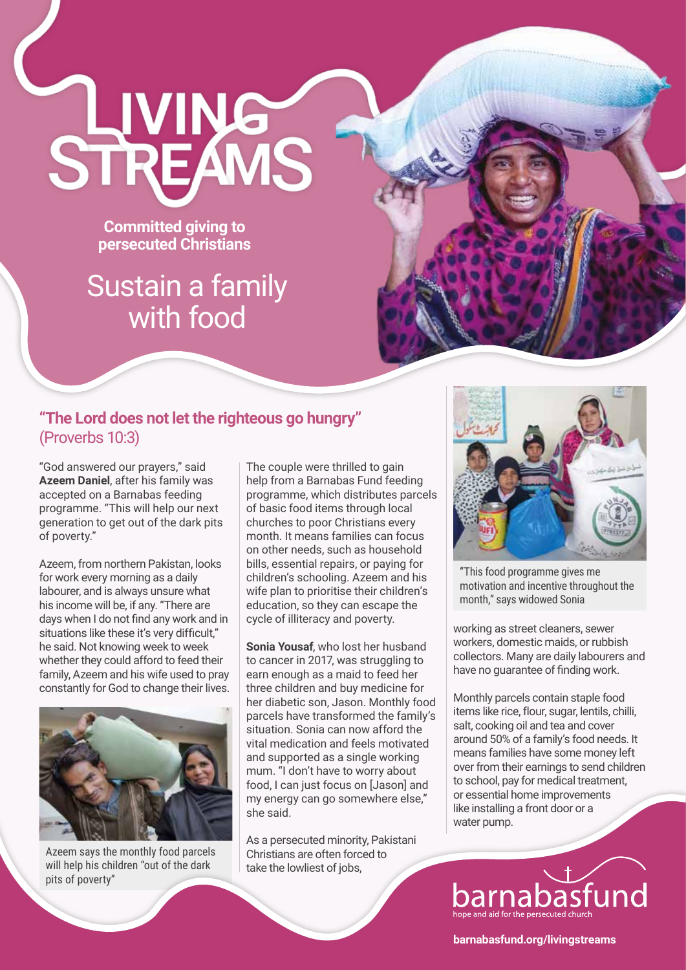**Committed giving to persecuted Christians** 

STREAMS

## Sustain a family with food

## **"The Lord does not let the righteous go hungry"**  (Proverbs 10:3)

"God answered our prayers," said **Azeem Daniel**, after his family was accepted on a Barnabas feeding programme. "This will help our next generation to get out of the dark pits of poverty."

Azeem, from northern Pakistan, looks for work every morning as a daily labourer, and is always unsure what his income will be, if any. "There are days when I do not find any work and in situations like these it's very difficult," he said. Not knowing week to week whether they could afford to feed their family, Azeem and his wife used to pray constantly for God to change their lives.



Azeem says the monthly food parcels will help his children "out of the dark pits of poverty"

The couple were thrilled to gain help from a Barnabas Fund feeding programme, which distributes parcels of basic food items through local churches to poor Christians every month. It means families can focus on other needs, such as household bills, essential repairs, or paying for children's schooling. Azeem and his wife plan to prioritise their children's education, so they can escape the cycle of illiteracy and poverty.

**Sonia Yousaf**, who lost her husband to cancer in 2017, was struggling to earn enough as a maid to feed her three children and buy medicine for her diabetic son, Jason. Monthly food parcels have transformed the family's situation. Sonia can now afford the vital medication and feels motivated and supported as a single working mum. "I don't have to worry about food, I can just focus on [Jason] and my energy can go somewhere else," she said.

As a persecuted minority, Pakistani Christians are often forced to take the lowliest of jobs,



"This food programme gives me motivation and incentive throughout the month," says widowed Sonia

working as street cleaners, sewer workers, domestic maids, or rubbish collectors. Many are daily labourers and have no guarantee of finding work.

Monthly parcels contain staple food items like rice, flour, sugar, lentils, chilli, salt, cooking oil and tea and cover around 50% of a family's food needs. It means families have some money left over from their earnings to send children to school, pay for medical treatment, or essential home improvements like installing a front door or a water pump.



**barnabasfund.org/livingstreams**